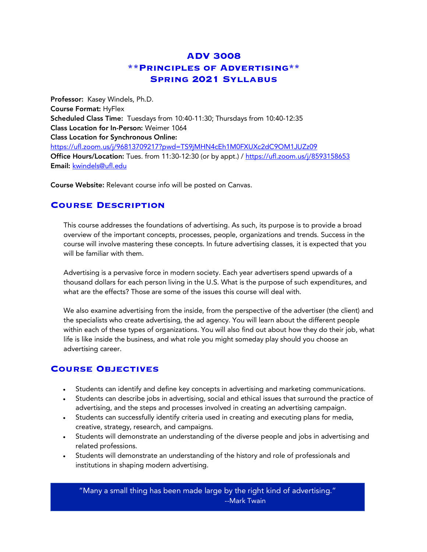# **ADV 3008 \*\*Principles of Advertising\*\* Spring 2021 Syllabus**

Professor: Kasey Windels, Ph.D. Course Format: HyFlex Scheduled Class Time: Tuesdays from 10:40-11:30; Thursdays from 10:40-12:35 Class Location for In-Person: Weimer 1064 Class Location for Synchronous Online: https://ufl.zoom.us/j/96813709217?pwd=TS9jMHN4cEh1M0FXUXc2dC9OM1JUZz09 Office Hours/Location: Tues. from 11:30-12:30 (or by appt.) / https://ufl.zoom.us/j/8593158653 Email: kwindels@ufl.edu

Course Website: Relevant course info will be posted on Canvas.

## **Course Description**

This course addresses the foundations of advertising. As such, its purpose is to provide a broad overview of the important concepts, processes, people, organizations and trends. Success in the course will involve mastering these concepts. In future advertising classes, it is expected that you will be familiar with them.

Advertising is a pervasive force in modern society. Each year advertisers spend upwards of a thousand dollars for each person living in the U.S. What is the purpose of such expenditures, and what are the effects? Those are some of the issues this course will deal with.

We also examine advertising from the inside, from the perspective of the advertiser (the client) and the specialists who create advertising, the ad agency. You will learn about the different people within each of these types of organizations. You will also find out about how they do their job, what life is like inside the business, and what role you might someday play should you choose an advertising career.

## **Course Objectives**

- Students can identify and define key concepts in advertising and marketing communications.
- Students can describe jobs in advertising, social and ethical issues that surround the practice of advertising, and the steps and processes involved in creating an advertising campaign.
- Students can successfully identify criteria used in creating and executing plans for media, creative, strategy, research, and campaigns.
- Students will demonstrate an understanding of the diverse people and jobs in advertising and related professions.
- Students will demonstrate an understanding of the history and role of professionals and institutions in shaping modern advertising.

"Many a small thing has been made large by the right kind of advertising." --Mark Twain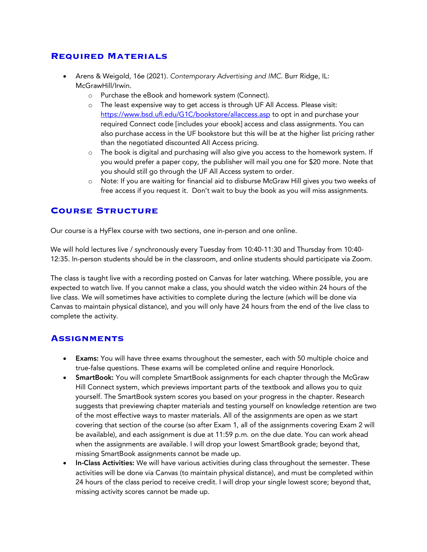#### **Required Materials**

- Arens & Weigold, 16e (2021). *Contemporary Advertising and IMC*. Burr Ridge, IL: McGrawHill/Irwin.
	- o Purchase the eBook and homework system (Connect).
	- o The least expensive way to get access is through UF All Access. Please visit: https://www.bsd.ufl.edu/G1C/bookstore/allaccess.asp to opt in and purchase your required Connect code [includes your ebook] access and class assignments. You can also purchase access in the UF bookstore but this will be at the higher list pricing rather than the negotiated discounted All Access pricing.
	- o The book is digital and purchasing will also give you access to the homework system. If you would prefer a paper copy, the publisher will mail you one for \$20 more. Note that you should still go through the UF All Access system to order.
	- o Note: If you are waiting for financial aid to disburse McGraw Hill gives you two weeks of free access if you request it. Don't wait to buy the book as you will miss assignments.

# **Course Structure**

Our course is a HyFlex course with two sections, one in-person and one online.

We will hold lectures live / synchronously every Tuesday from 10:40-11:30 and Thursday from 10:40- 12:35. In-person students should be in the classroom, and online students should participate via Zoom.

The class is taught live with a recording posted on Canvas for later watching. Where possible, you are expected to watch live. If you cannot make a class, you should watch the video within 24 hours of the live class. We will sometimes have activities to complete during the lecture (which will be done via Canvas to maintain physical distance), and you will only have 24 hours from the end of the live class to complete the activity.

## **Assignments**

- Exams: You will have three exams throughout the semester, each with 50 multiple choice and true-false questions. These exams will be completed online and require Honorlock.
- SmartBook: You will complete SmartBook assignments for each chapter through the McGraw Hill Connect system, which previews important parts of the textbook and allows you to quiz yourself. The SmartBook system scores you based on your progress in the chapter. Research suggests that previewing chapter materials and testing yourself on knowledge retention are two of the most effective ways to master materials. All of the assignments are open as we start covering that section of the course (so after Exam 1, all of the assignments covering Exam 2 will be available), and each assignment is due at 11:59 p.m. on the due date. You can work ahead when the assignments are available. I will drop your lowest SmartBook grade; beyond that, missing SmartBook assignments cannot be made up.
- In-Class Activities: We will have various activities during class throughout the semester. These activities will be done via Canvas (to maintain physical distance), and must be completed within 24 hours of the class period to receive credit. I will drop your single lowest score; beyond that, missing activity scores cannot be made up.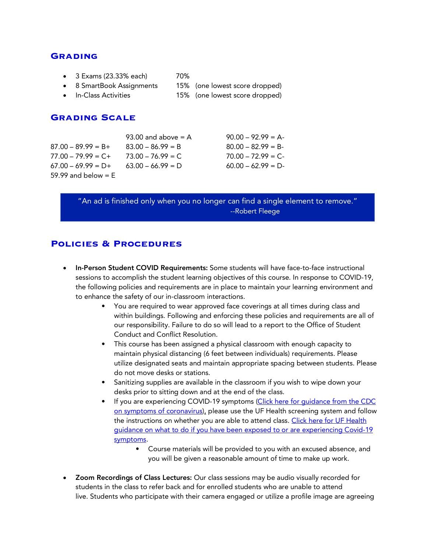#### **Grading**

- 3 Exams (23.33% each) 70%
- 8 SmartBook Assignments 15% (one lowest score dropped)
- 
- 
- In-Class Activities 15% (one lowest score dropped)

#### **Grading Scale**

| $87.00 - 89.99 = B +$ |
|-----------------------|
| $77.00 - 79.99 = C +$ |
| $67.00 - 69.99 = D +$ |
| 59.99 and below $=$ E |

93.00 and above = A  $90.00 - 92.99 = A$  $83.00 - 86.99 = B$   $80.00 - 82.99 = B$  $73.00 - 76.99 = C$  70.00 – 72.99 = C- $63.00 - 66.99 = D$  60.00 – 62.99 = D-

"An ad is finished only when you no longer can find a single element to remove." --Robert Fleege

#### **Policies & Procedures**

- In-Person Student COVID Requirements: Some students will have face-to-face instructional sessions to accomplish the student learning objectives of this course. In response to COVID-19, the following policies and requirements are in place to maintain your learning environment and to enhance the safety of our in-classroom interactions.
	- You are required to wear approved face coverings at all times during class and within buildings. Following and enforcing these policies and requirements are all of our responsibility. Failure to do so will lead to a report to the Office of Student Conduct and Conflict Resolution.
	- This course has been assigned a physical classroom with enough capacity to maintain physical distancing (6 feet between individuals) requirements. Please utilize designated seats and maintain appropriate spacing between students. Please do not move desks or stations.
	- Sanitizing supplies are available in the classroom if you wish to wipe down your desks prior to sitting down and at the end of the class.
	- If you are experiencing COVID-19 symptoms (Click here for guidance from the CDC on symptoms of coronavirus), please use the UF Health screening system and follow the instructions on whether you are able to attend class. Click here for UF Health guidance on what to do if you have been exposed to or are experiencing Covid-19 symptoms.
		- Course materials will be provided to you with an excused absence, and you will be given a reasonable amount of time to make up work.
- Zoom Recordings of Class Lectures: Our class sessions may be audio visually recorded for students in the class to refer back and for enrolled students who are unable to attend live. Students who participate with their camera engaged or utilize a profile image are agreeing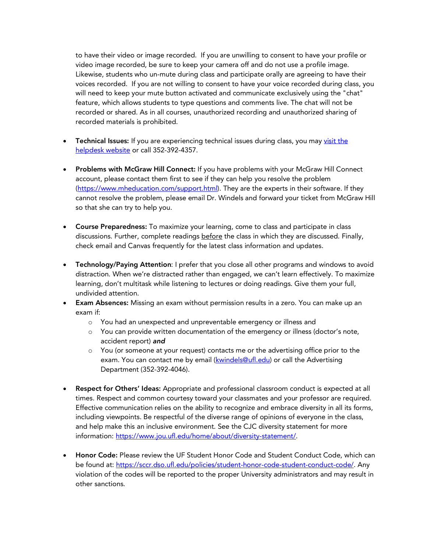to have their video or image recorded. If you are unwilling to consent to have your profile or video image recorded, be sure to keep your camera off and do not use a profile image. Likewise, students who un-mute during class and participate orally are agreeing to have their voices recorded. If you are not willing to consent to have your voice recorded during class, you will need to keep your mute button activated and communicate exclusively using the "chat" feature, which allows students to type questions and comments live. The chat will not be recorded or shared. As in all courses, unauthorized recording and unauthorized sharing of recorded materials is prohibited.

- Technical Issues: If you are experiencing technical issues during class, you may visit the helpdesk website or call 352-392-4357.
- Problems with McGraw Hill Connect: If you have problems with your McGraw Hill Connect account, please contact them first to see if they can help you resolve the problem (https://www.mheducation.com/support.html). They are the experts in their software. If they cannot resolve the problem, please email Dr. Windels and forward your ticket from McGraw Hill so that she can try to help you.
- Course Preparedness: To maximize your learning, come to class and participate in class discussions. Further, complete readings before the class in which they are discussed. Finally, check email and Canvas frequently for the latest class information and updates.
- Technology/Paying Attention: I prefer that you close all other programs and windows to avoid distraction. When we're distracted rather than engaged, we can't learn effectively. To maximize learning, don't multitask while listening to lectures or doing readings. Give them your full, undivided attention.
- Exam Absences: Missing an exam without permission results in a zero. You can make up an exam if:
	- o You had an unexpected and unpreventable emergency or illness and
	- o You can provide written documentation of the emergency or illness (doctor's note, accident report) *and*
	- o You (or someone at your request) contacts me or the advertising office prior to the exam. You can contact me by email (kwindels@ufl.edu) or call the Advertising Department (352-392-4046).
- Respect for Others' Ideas: Appropriate and professional classroom conduct is expected at all times. Respect and common courtesy toward your classmates and your professor are required. Effective communication relies on the ability to recognize and embrace diversity in all its forms, including viewpoints. Be respectful of the diverse range of opinions of everyone in the class, and help make this an inclusive environment. See the CJC diversity statement for more information: https://www.jou.ufl.edu/home/about/diversity-statement/.
- Honor Code: Please review the UF Student Honor Code and Student Conduct Code, which can be found at: https://sccr.dso.ufl.edu/policies/student-honor-code-student-conduct-code/. Any violation of the codes will be reported to the proper University administrators and may result in other sanctions.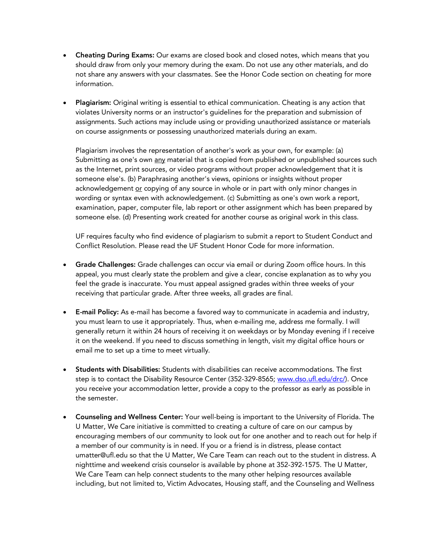- Cheating During Exams: Our exams are closed book and closed notes, which means that you should draw from only your memory during the exam. Do not use any other materials, and do not share any answers with your classmates. See the Honor Code section on cheating for more information.
- Plagiarism: Original writing is essential to ethical communication. Cheating is any action that violates University norms or an instructor's guidelines for the preparation and submission of assignments. Such actions may include using or providing unauthorized assistance or materials on course assignments or possessing unauthorized materials during an exam.

Plagiarism involves the representation of another's work as your own, for example: (a) Submitting as one's own any material that is copied from published or unpublished sources such as the Internet, print sources, or video programs without proper acknowledgement that it is someone else's. (b) Paraphrasing another's views, opinions or insights without proper acknowledgement or copying of any source in whole or in part with only minor changes in wording or syntax even with acknowledgement. (c) Submitting as one's own work a report, examination, paper, computer file, lab report or other assignment which has been prepared by someone else. (d) Presenting work created for another course as original work in this class.

UF requires faculty who find evidence of plagiarism to submit a report to Student Conduct and Conflict Resolution. Please read the UF Student Honor Code for more information.

- Grade Challenges: Grade challenges can occur via email or during Zoom office hours. In this appeal, you must clearly state the problem and give a clear, concise explanation as to why you feel the grade is inaccurate. You must appeal assigned grades within three weeks of your receiving that particular grade. After three weeks, all grades are final.
- E-mail Policy: As e-mail has become a favored way to communicate in academia and industry, you must learn to use it appropriately. Thus, when e-mailing me, address me formally. I will generally return it within 24 hours of receiving it on weekdays or by Monday evening if I receive it on the weekend. If you need to discuss something in length, visit my digital office hours or email me to set up a time to meet virtually.
- Students with Disabilities: Students with disabilities can receive accommodations. The first step is to contact the Disability Resource Center (352-329-8565; www.dso.ufl.edu/drc/). Once you receive your accommodation letter, provide a copy to the professor as early as possible in the semester.
- Counseling and Wellness Center: Your well-being is important to the University of Florida. The U Matter, We Care initiative is committed to creating a culture of care on our campus by encouraging members of our community to look out for one another and to reach out for help if a member of our community is in need. If you or a friend is in distress, please contact umatter@ufl.edu so that the U Matter, We Care Team can reach out to the student in distress. A nighttime and weekend crisis counselor is available by phone at 352-392-1575. The U Matter, We Care Team can help connect students to the many other helping resources available including, but not limited to, Victim Advocates, Housing staff, and the Counseling and Wellness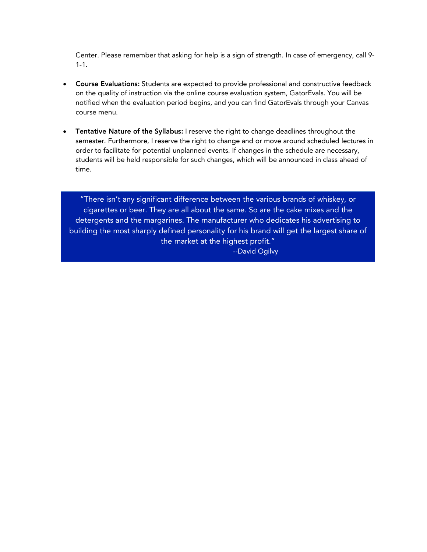Center. Please remember that asking for help is a sign of strength. In case of emergency, call 9- 1-1.

- Course Evaluations: Students are expected to provide professional and constructive feedback on the quality of instruction via the online course evaluation system, GatorEvals. You will be notified when the evaluation period begins, and you can find GatorEvals through your Canvas course menu.
- Tentative Nature of the Syllabus: I reserve the right to change deadlines throughout the semester. Furthermore, I reserve the right to change and or move around scheduled lectures in order to facilitate for potential unplanned events. If changes in the schedule are necessary, students will be held responsible for such changes, which will be announced in class ahead of time.

"There isn't any significant difference between the various brands of whiskey, or cigarettes or beer. They are all about the same. So are the cake mixes and the detergents and the margarines. The manufacturer who dedicates his advertising to building the most sharply defined personality for his brand will get the largest share of the market at the highest profit." --David Ogilvy